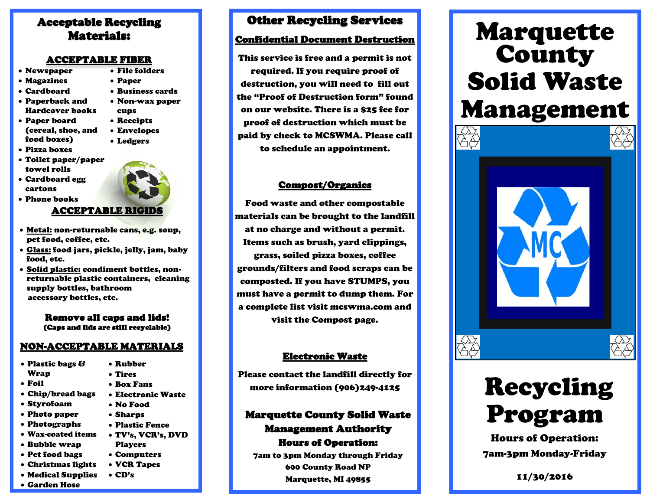#### Acceptable Recycling Materials:

#### ACCEPTABLE FIBER

- Newspaper File folders
- Magazines
- Cardboard
- Paperback and Hardcover books
- Paper board (cereal, shoe, and food boxes)
- Pizza boxes
- Toilet paper/paper towel rolls
- Cardboard egg cartons

Phone books

Paper

cups Receipts Envelopes Ledgers

 Business cards Non-wax paper

#### ACCEPTABLE RIGIDS

- Metal: non-returnable cans, e.g. soup, pet food, coffee, etc.
- Glass: food jars, pickle, jelly, jam, baby food, etc.
- Solid plastic: condiment bottles, nonreturnable plastic containers, cleaning supply bottles, bathroom accessory bottles, etc.

#### Remove all caps and lids! (Caps and lids are still recyclable)

#### NON-ACCEPTABLE MATERIALS

- Plastic bags & Wrap Foil Chip/bread bags Styrofoam Photo paper Photographs Wax-coated items Bubble wrap Pet food bags Christmas lights Rubber Tires Box Fans Electronic Waste No Food Sharps Plastic Fence Players Computers VCR Tapes
- Medical Supplies
- Garden Hose

#### Other Recycling Services

#### Confidential Document Destruction

This service is free and a permit is not required. If you require proof of destruction, you will need to fill out the "Proof of Destruction form" found on our website. There is a \$25 fee for proof of destruction which must be paid by check to MCSWMA. Please call to schedule an appointment.

#### Compost/Organics

Food waste and other compostable materials can be brought to the landfill at no charge and without a permit. Items such as brush, yard clippings, grass, soiled pizza boxes, coffee grounds/filters and food scraps can be composted. If you have STUMPS, you must have a permit to dump them. For a complete list visit mcswma.com and visit the Compost page.

#### Electronic Waste

Please contact the landfill directly for more information (906)249-4125

#### Marquette County Solid Waste Management Authority Hours of Operation:

7am to 3pm Monday through Friday 600 County Road NP Marquette, MI 49855

# Marquette County Solid Waste Management



# Recycling Program

Hours of Operation: 7am-3pm Monday-Friday

11/30/2016

- TV's, VCR's, DVD
- CD's